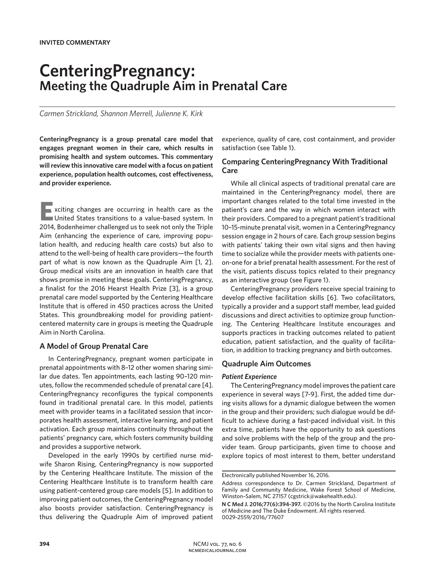# **CenteringPregnancy: Meeting the Quadruple Aim in Prenatal Care**

# *Carmen Strickland, Shannon Merrell, Julienne K. Kirk*

**CenteringPregnancy is a group prenatal care model that engages pregnant women in their care, which results in promising health and system outcomes. This commentary will review this innovative care model with a focus on patient experience, population health outcomes, cost effectiveness, and provider experience.**

**E**xciting changes are occurring in health care as the United States transitions to a value-based system. In 2014, Bodenheimer challenged us to seek not only the Triple Aim (enhancing the experience of care, improving population health, and reducing health care costs) but also to attend to the well-being of health care providers—the fourth part of what is now known as the Quadruple Aim [1, 2]. Group medical visits are an innovation in health care that shows promise in meeting these goals. CenteringPregnancy, a finalist for the 2016 Hearst Health Prize [3], is a group prenatal care model supported by the Centering Healthcare Institute that is offered in 450 practices across the United States. This groundbreaking model for providing patientcentered maternity care in groups is meeting the Quadruple Aim in North Carolina.

# **A Model of Group Prenatal Care**

In CenteringPregnancy, pregnant women participate in prenatal appointments with 8–12 other women sharing similar due dates. Ten appointments, each lasting 90–120 minutes, follow the recommended schedule of prenatal care [4]. CenteringPregnancy reconfigures the typical components found in traditional prenatal care. In this model, patients meet with provider teams in a facilitated session that incorporates health assessment, interactive learning, and patient activation. Each group maintains continuity throughout the patients' pregnancy care, which fosters community building and provides a supportive network.

Developed in the early 1990s by certified nurse midwife Sharon Rising, CenteringPregnancy is now supported by the Centering Healthcare Institute. The mission of the Centering Healthcare Institute is to transform health care using patient-centered group care models [5]. In addition to improving patient outcomes, the CenteringPregnancy model also boosts provider satisfaction. CenteringPregnancy is thus delivering the Quadruple Aim of improved patient

experience, quality of care, cost containment, and provider satisfaction (see Table 1).

# **Comparing CenteringPregnancy With Traditional Care**

While all clinical aspects of traditional prenatal care are maintained in the CenteringPregnancy model, there are important changes related to the total time invested in the patient's care and the way in which women interact with their providers. Compared to a pregnant patient's traditional 10–15-minute prenatal visit, women in a CenteringPregnancy session engage in 2 hours of care. Each group session begins with patients' taking their own vital signs and then having time to socialize while the provider meets with patients oneon-one for a brief prenatal health assessment. For the rest of the visit, patients discuss topics related to their pregnancy as an interactive group (see Figure 1).

CenteringPregnancy providers receive special training to develop effective facilitation skills [6]. Two cofacilitators, typically a provider and a support staff member, lead guided discussions and direct activities to optimize group functioning. The Centering Healthcare Institute encourages and supports practices in tracking outcomes related to patient education, patient satisfaction, and the quality of facilitation, in addition to tracking pregnancy and birth outcomes.

# **Quadruple Aim Outcomes**

#### *Patient Experience*

The CenteringPregnancy model improves the patient care experience in several ways [7-9]. First, the added time during visits allows for a dynamic dialogue between the women in the group and their providers; such dialogue would be difficult to achieve during a fast-paced individual visit. In this extra time, patients have the opportunity to ask questions and solve problems with the help of the group and the provider team. Group participants, given time to choose and explore topics of most interest to them, better understand

Electronically published November 16, 2016.

Address correspondence to Dr. Carmen Strickland, Department of Family and Community Medicine, Wake Forest School of Medicine, Winston–Salem, NC 27157 (cgstrick@wakehealth.edu).

**N C Med J. 2016;77(6):394-397.** ©2016 by the North Carolina Institute of Medicine and The Duke Endowment. All rights reserved. 0029-2559/2016/77607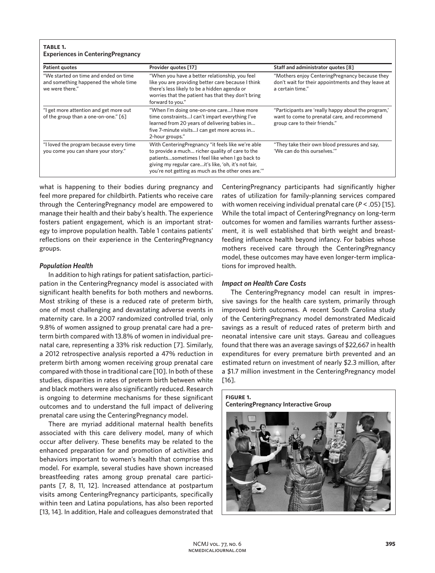#### **table 1. Experiences in CenteringPregnancy**

| <b>Patient quotes</b>                                                                             | Provider quotes [17]                                                                                                                                                                                                                                                   | Staff and administrator quotes [8]                                                                                                   |
|---------------------------------------------------------------------------------------------------|------------------------------------------------------------------------------------------------------------------------------------------------------------------------------------------------------------------------------------------------------------------------|--------------------------------------------------------------------------------------------------------------------------------------|
| "We started on time and ended on time<br>and something happened the whole time<br>we were there." | "When you have a better relationship, you feel<br>like you are providing better care because I think<br>there's less likely to be a hidden agenda or<br>worries that the patient has that they don't bring<br>forward to you."                                         | "Mothers enjoy CenteringPregnancy because they<br>don't wait for their appointments and they leave at<br>a certain time."            |
| "I get more attention and get more out<br>of the group than a one-on-one." [6]                    | "When I'm doing one-on-one careI have more<br>time constraints can't impart everything I've<br>learned from 20 years of delivering babies in<br>five 7-minute visits can get more across in<br>2-hour groups."                                                         | "Participants are 'really happy about the program,"<br>want to come to prenatal care, and recommend<br>group care to their friends." |
| "I loved the program because every time<br>you come you can share your story."                    | With Centering Pregnancy "it feels like we're able<br>to provide a much richer quality of care to the<br>patientssometimes I feel like when I go back to<br>giving my regular careit's like, 'oh, it's not fair,<br>you're not getting as much as the other ones are." | "They take their own blood pressures and say,<br>'We can do this ourselves.'"                                                        |

what is happening to their bodies during pregnancy and feel more prepared for childbirth. Patients who receive care through the CenteringPregnancy model are empowered to manage their health and their baby's health. The experience fosters patient engagement, which is an important strategy to improve population health. Table 1 contains patients' reflections on their experience in the CenteringPregnancy groups.

# *Population Health*

In addition to high ratings for patient satisfaction, participation in the CenteringPregnancy model is associated with significant health benefits for both mothers and newborns. Most striking of these is a reduced rate of preterm birth, one of most challenging and devastating adverse events in maternity care. In a 2007 randomized controlled trial, only 9.8% of women assigned to group prenatal care had a preterm birth compared with 13.8% of women in individual prenatal care, representing a 33% risk reduction [7]. Similarly, a 2012 retrospective analysis reported a 47% reduction in preterm birth among women receiving group prenatal care compared with those in traditional care [10]. In both of these studies, disparities in rates of preterm birth between white and black mothers were also significantly reduced. Research is ongoing to determine mechanisms for these significant outcomes and to understand the full impact of delivering prenatal care using the CenteringPregnancy model.

There are myriad additional maternal health benefits associated with this care delivery model, many of which occur after delivery. These benefits may be related to the enhanced preparation for and promotion of activities and behaviors important to women's health that comprise this model. For example, several studies have shown increased breastfeeding rates among group prenatal care participants [7, 8, 11, 12]. Increased attendance at postpartum visits among CenteringPregnancy participants, specifically within teen and Latina populations, has also been reported [13, 14]. In addition, Hale and colleagues demonstrated that CenteringPregnancy participants had significantly higher rates of utilization for family-planning services compared with women receiving individual prenatal care (*P* < .05) [15]. While the total impact of CenteringPregnancy on long-term outcomes for women and families warrants further assessment, it is well established that birth weight and breastfeeding influence health beyond infancy. For babies whose mothers received care through the CenteringPregnancy model, these outcomes may have even longer-term implications for improved health.

#### *Impact on Health Care Costs*

The CenteringPregnancy model can result in impressive savings for the health care system, primarily through improved birth outcomes. A recent South Carolina study of the CenteringPregnancy model demonstrated Medicaid savings as a result of reduced rates of preterm birth and neonatal intensive care unit stays. Gareau and colleagues found that there was an average savings of \$22,667 in health expenditures for every premature birth prevented and an estimated return on investment of nearly \$2.3 million, after a \$1.7 million investment in the CenteringPregnancy model [16].

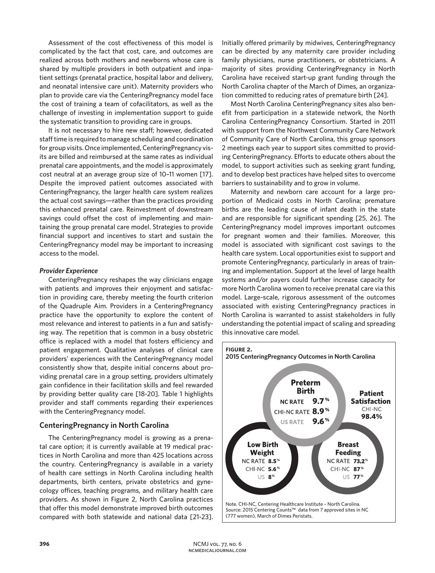Assessment of the cost effectiveness of this model is complicated by the fact that cost, care, and outcomes are realized across both mothers and newborns whose care is shared by multiple providers in both outpatient and inpatient settings (prenatal practice, hospital labor and delivery, and neonatal intensive care unit). Maternity providers who plan to provide care via the CenteringPregnancy model face the cost of training a team of cofacilitators, as well as the challenge of investing in implementation support to guide the systematic transition to providing care in groups.

It is not necessary to hire new staff; however, dedicated staff time is required to manage scheduling and coordination for group visits. Once implemented, CenteringPregnancy visits are billed and reimbursed at the same rates as individual prenatal care appointments, and the model is approximately cost neutral at an average group size of 10–11 women [17]. Despite the improved patient outcomes associated with CenteringPregnancy, the larger health care system realizes the actual cost savings—rather than the practices providing this enhanced prenatal care. Reinvestment of downstream savings could offset the cost of implementing and maintaining the group prenatal care model. Strategies to provide financial support and incentives to start and sustain the CenteringPregnancy model may be important to increasing access to the model.

#### *Provider Experience*

CenteringPregnancy reshapes the way clinicians engage with patients and improves their enjoyment and satisfaction in providing care, thereby meeting the fourth criterion of the Quadruple Aim. Providers in a CenteringPregnancy practice have the opportunity to explore the content of most relevance and interest to patients in a fun and satisfying way. The repetition that is common in a busy obstetric office is replaced with a model that fosters efficiency and patient engagement. Qualitative analyses of clinical care providers' experiences with the CenteringPregnancy model consistently show that, despite initial concerns about providing prenatal care in a group setting, providers ultimately gain confidence in their facilitation skills and feel rewarded by providing better quality care [18-20]. Table 1 highlights provider and staff comments regarding their experiences with the CenteringPregnancy model.

# **CenteringPregnancy in North Carolina**

The CenteringPregnancy model is growing as a prenatal care option; it is currently available at 19 medical practices in North Carolina and more than 425 locations across the country. CenteringPregnancy is available in a variety of health care settings in North Carolina including health departments, birth centers, private obstetrics and gynecology offices, teaching programs, and military health care providers. As shown in Figure 2, North Carolina practices that offer this model demonstrate improved birth outcomes compared with both statewide and national data [21-23]. Initially offered primarily by midwives, CenteringPregnancy can be directed by any maternity care provider including family physicians, nurse practitioners, or obstetricians. A majority of sites providing CenteringPregnancy in North Carolina have received start-up grant funding through the North Carolina chapter of the March of Dimes, an organization committed to reducing rates of premature birth [24].

Most North Carolina CenteringPregnancy sites also benefit from participation in a statewide network, the North Carolina CenteringPregnancy Consortium. Started in 2011 with support from the Northwest Community Care Network of Community Care of North Carolina, this group sponsors 2 meetings each year to support sites committed to providing CenteringPregnancy. Efforts to educate others about the model, to support activities such as seeking grant funding, and to develop best practices have helped sites to overcome barriers to sustainability and to grow in volume.

Maternity and newborn care account for a large proportion of Medicaid costs in North Carolina; premature births are the leading cause of infant death in the state and are responsible for significant spending [25, 26]. The CenteringPregnancy model improves important outcomes for pregnant women and their families. Moreover, this model is associated with significant cost savings to the health care system. Local opportunities exist to support and promote CenteringPregnancy, particularly in areas of training and implementation. Support at the level of large health systems and/or payers could further increase capacity for more North Carolina women to receive prenatal care via this model. Large-scale, rigorous assessment of the outcomes associated with existing CenteringPregnancy practices in North Carolina is warranted to assist stakeholders in fully understanding the potential impact of scaling and spreading this innovative care model.